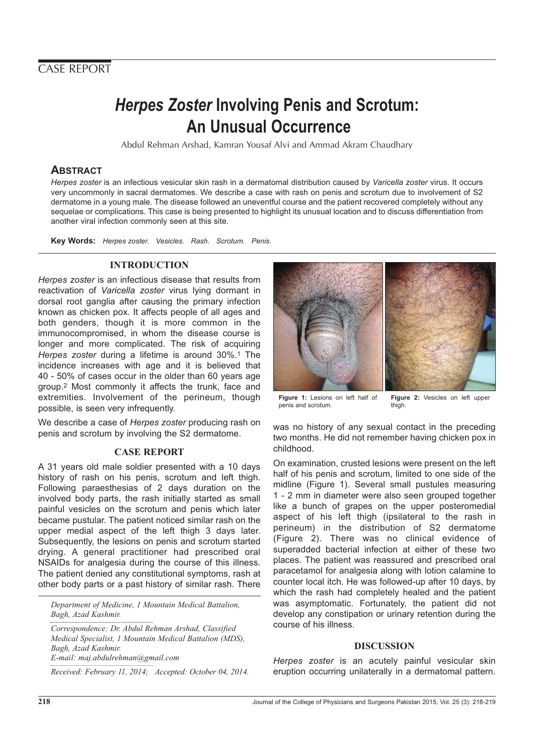## CASE REPORT

# **Herpes Zoster Involving Penis and Scrotum: An Unusual Occurrence**

Abdul Rehman Arshad, Kamran Yousaf Alvi and Ammad Akram Chaudhary

### **ABSTRACT**

Herpes zoster is an infectious vesicular skin rash in a dermatomal distribution caused by Varicella zoster virus. It occurs very uncommonly in sacral dermatomes. We describe a case with rash on penis and scrotum due to involvement of S2 dermatome in a young male. The disease followed an uneventful course and the patient recovered completely without any sequelae or complications. This case is being presented to highlight its unusual location and to discuss differentiation from another viral infection commonly seen at this site.

**Key Words:** Herpes zoster. Vesicles. Rash. Scrotum. Penis.

#### **INTRODUCTION**

Herpes zoster is an infectious disease that results from reactivation of Varicella zoster virus lying dormant in dorsal root ganglia after causing the primary infection known as chicken pox. It affects people of all ages and both genders, though it is more common in the immunocompromised, in whom the disease course is longer and more complicated. The risk of acquiring Herpes zoster during a lifetime is around 30%.<sup>1</sup> The incidence increases with age and it is believed that 40 - 50% of cases occur in the older than 60 years age group.2 Most commonly it affects the trunk, face and extremities. Involvement of the perineum, though possible, is seen very infrequently.

We describe a case of *Herpes zoster* producing rash on penis and scrotum by involving the S2 dermatome.

#### **CASE REPORT**

A 31 years old male soldier presented with a 10 days history of rash on his penis, scrotum and left thigh. Following paraesthesias of 2 days duration on the involved body parts, the rash initially started as small painful vesicles on the scrotum and penis which later became pustular. The patient noticed similar rash on the upper medial aspect of the left thigh 3 days later. Subsequently, the lesions on penis and scrotum started drying. A general practitioner had prescribed oral NSAIDs for analgesia during the course of this illness. The patient denied any constitutional symptoms, rash at other body parts or a past history of similar rash. There

*Department of Medicine, 1 Mountain Medical Battalion, Bagh, Azad Kashmir.*

*Correspondence: Dr. Abdul Rehman Arshad, Classified Medical Specialist, 1 Mountain Medical Battalion (MDS), Bagh, Azad Kashmir. E-mail: maj.abdulrehman@gmail.com*

*Received: February 11, 2014; Accepted: October 04, 2014.*



**Figure 1:** Lesions on left half of penis and scrotum. **Figure 2:** Vesicles on left upper thigh.

was no history of any sexual contact in the preceding two months. He did not remember having chicken pox in childhood.

On examination, crusted lesions were present on the left half of his penis and scrotum, limited to one side of the midline (Figure 1). Several small pustules measuring 1 - 2 mm in diameter were also seen grouped together like a bunch of grapes on the upper posteromedial aspect of his left thigh (ipsilateral to the rash in perineum) in the distribution of S2 dermatome (Figure 2). There was no clinical evidence of superadded bacterial infection at either of these two places. The patient was reassured and prescribed oral paracetamol for analgesia along with lotion calamine to counter local itch. He was followed-up after 10 days, by which the rash had completely healed and the patient was asymptomatic. Fortunately, the patient did not develop any constipation or urinary retention during the course of his illness.

#### **DISCUSSION**

Herpes zoster is an acutely painful vesicular skin eruption occurring unilaterally in a dermatomal pattern.